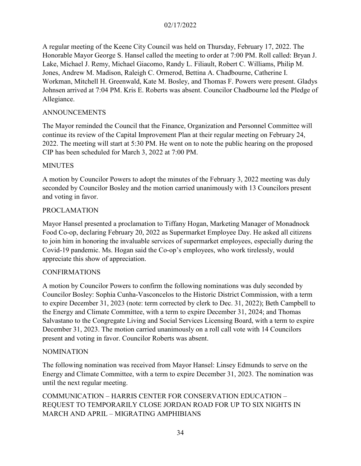A regular meeting of the Keene City Council was held on Thursday, February 17, 2022. The Honorable Mayor George S. Hansel called the meeting to order at 7:00 PM. Roll called: Bryan J. Lake, Michael J. Remy, Michael Giacomo, Randy L. Filiault, Robert C. Williams, Philip M. Jones, Andrew M. Madison, Raleigh C. Ormerod, Bettina A. Chadbourne, Catherine I. Workman, Mitchell H. Greenwald, Kate M. Bosley, and Thomas F. Powers were present. Gladys Johnsen arrived at 7:04 PM. Kris E. Roberts was absent. Councilor Chadbourne led the Pledge of Allegiance.

#### ANNOUNCEMENTS

The Mayor reminded the Council that the Finance, Organization and Personnel Committee will continue its review of the Capital Improvement Plan at their regular meeting on February 24, 2022. The meeting will start at 5:30 PM. He went on to note the public hearing on the proposed CIP has been scheduled for March 3, 2022 at 7:00 PM.

#### MINUTES

A motion by Councilor Powers to adopt the minutes of the February 3, 2022 meeting was duly seconded by Councilor Bosley and the motion carried unanimously with 13 Councilors present and voting in favor.

#### PROCLAMATION

Mayor Hansel presented a proclamation to Tiffany Hogan, Marketing Manager of Monadnock Food Co-op, declaring February 20, 2022 as Supermarket Employee Day. He asked all citizens to join him in honoring the invaluable services of supermarket employees, especially during the Covid-19 pandemic. Ms. Hogan said the Co-op's employees, who work tirelessly, would appreciate this show of appreciation.

### CONFIRMATIONS

A motion by Councilor Powers to confirm the following nominations was duly seconded by Councilor Bosley: Sophia Cunha-Vasconcelos to the Historic District Commission, with a term to expire December 31, 2023 (note: term corrected by clerk to Dec. 31, 2022); Beth Campbell to the Energy and Climate Committee, with a term to expire December 31, 2024; and Thomas Salvastano to the Congregate Living and Social Services Licensing Board, with a term to expire December 31, 2023. The motion carried unanimously on a roll call vote with 14 Councilors present and voting in favor. Councilor Roberts was absent.

#### NOMINATION

The following nomination was received from Mayor Hansel: Linsey Edmunds to serve on the Energy and Climate Committee, with a term to expire December 31, 2023. The nomination was until the next regular meeting.

COMMUNICATION – HARRIS CENTER FOR CONSERVATION EDUCATION – REQUEST TO TEMPORARILY CLOSE JORDAN ROAD FOR UP TO SIX NIGHTS IN MARCH AND APRIL – MIGRATING AMPHIBIANS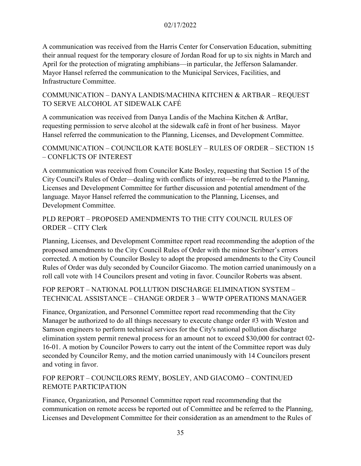A communication was received from the Harris Center for Conservation Education, submitting their annual request for the temporary closure of Jordan Road for up to six nights in March and April for the protection of migrating amphibians—in particular, the Jefferson Salamander. Mayor Hansel referred the communication to the Municipal Services, Facilities, and Infrastructure Committee.

# COMMUNICATION – DANYA LANDIS/MACHINA KITCHEN & ARTBAR – REQUEST TO SERVE ALCOHOL AT SIDEWALK CAFÉ

A communication was received from Danya Landis of the Machina Kitchen & ArtBar, requesting permission to serve alcohol at the sidewalk café in front of her business. Mayor Hansel referred the communication to the Planning, Licenses, and Development Committee.

# COMMUNICATION – COUNCILOR KATE BOSLEY – RULES OF ORDER – SECTION 15 – CONFLICTS OF INTEREST

A communication was received from Councilor Kate Bosley, requesting that Section 15 of the City Council's Rules of Order—dealing with conflicts of interest—be referred to the Planning, Licenses and Development Committee for further discussion and potential amendment of the language. Mayor Hansel referred the communication to the Planning, Licenses, and Development Committee.

# PLD REPORT – PROPOSED AMENDMENTS TO THE CITY COUNCIL RULES OF ORDER – CITY Clerk

Planning, Licenses, and Development Committee report read recommending the adoption of the proposed amendments to the City Council Rules of Order with the minor Scribner's errors corrected. A motion by Councilor Bosley to adopt the proposed amendments to the City Council Rules of Order was duly seconded by Councilor Giacomo. The motion carried unanimously on a roll call vote with 14 Councilors present and voting in favor. Councilor Roberts was absent.

# FOP REPORT – NATIONAL POLLUTION DISCHARGE ELIMINATION SYSTEM – TECHNICAL ASSISTANCE – CHANGE ORDER 3 – WWTP OPERATIONS MANAGER

Finance, Organization, and Personnel Committee report read recommending that the City Manager be authorized to do all things necessary to execute change order #3 with Weston and Samson engineers to perform technical services for the City's national pollution discharge elimination system permit renewal process for an amount not to exceed \$30,000 for contract 02- 16-01. A motion by Councilor Powers to carry out the intent of the Committee report was duly seconded by Councilor Remy, and the motion carried unanimously with 14 Councilors present and voting in favor.

# FOP REPORT – COUNCILORS REMY, BOSLEY, AND GIACOMO – CONTINUED REMOTE PARTICIPATION

Finance, Organization, and Personnel Committee report read recommending that the communication on remote access be reported out of Committee and be referred to the Planning, Licenses and Development Committee for their consideration as an amendment to the Rules of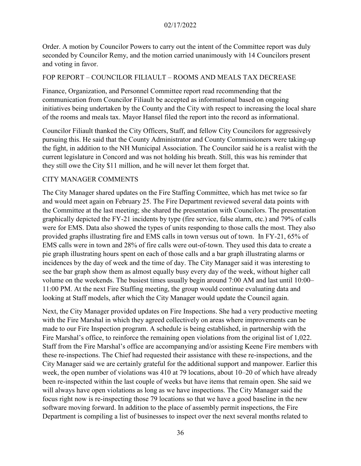Order. A motion by Councilor Powers to carry out the intent of the Committee report was duly seconded by Councilor Remy, and the motion carried unanimously with 14 Councilors present and voting in favor.

#### FOP REPORT – COUNCILOR FILIAULT – ROOMS AND MEALS TAX DECREASE

Finance, Organization, and Personnel Committee report read recommending that the communication from Councilor Filiault be accepted as informational based on ongoing initiatives being undertaken by the County and the City with respect to increasing the local share of the rooms and meals tax. Mayor Hansel filed the report into the record as informational.

Councilor Filiault thanked the City Officers, Staff, and fellow City Councilors for aggressively pursuing this. He said that the County Administrator and County Commissioners were taking-up the fight, in addition to the NH Municipal Association. The Councilor said he is a realist with the current legislature in Concord and was not holding his breath. Still, this was his reminder that they still owe the City \$11 million, and he will never let them forget that.

#### CITY MANAGER COMMENTS

The City Manager shared updates on the Fire Staffing Committee, which has met twice so far and would meet again on February 25. The Fire Department reviewed several data points with the Committee at the last meeting; she shared the presentation with Councilors. The presentation graphically depicted the FY-21 incidents by type (fire service, false alarm, etc.) and 79% of calls were for EMS. Data also showed the types of units responding to those calls the most. They also provided graphs illustrating fire and EMS calls in town versus out of town. In FY-21, 65% of EMS calls were in town and 28% of fire calls were out-of-town. They used this data to create a pie graph illustrating hours spent on each of those calls and a bar graph illustrating alarms or incidences by the day of week and the time of day. The City Manager said it was interesting to see the bar graph show them as almost equally busy every day of the week, without higher call volume on the weekends. The busiest times usually begin around 7:00 AM and last until 10:00– 11:00 PM. At the next Fire Staffing meeting, the group would continue evaluating data and looking at Staff models, after which the City Manager would update the Council again.

Next, the City Manager provided updates on Fire Inspections. She had a very productive meeting with the Fire Marshal in which they agreed collectively on areas where improvements can be made to our Fire Inspection program. A schedule is being established, in partnership with the Fire Marshal's office, to reinforce the remaining open violations from the original list of 1,022. Staff from the Fire Marshal's office are accompanying and/or assisting Keene Fire members with these re-inspections. The Chief had requested their assistance with these re-inspections, and the City Manager said we are certainly grateful for the additional support and manpower. Earlier this week, the open number of violations was 410 at 79 locations, about 10–20 of which have already been re-inspected within the last couple of weeks but have items that remain open. She said we will always have open violations as long as we have inspections. The City Manager said the focus right now is re-inspecting those 79 locations so that we have a good baseline in the new software moving forward. In addition to the place of assembly permit inspections, the Fire Department is compiling a list of businesses to inspect over the next several months related to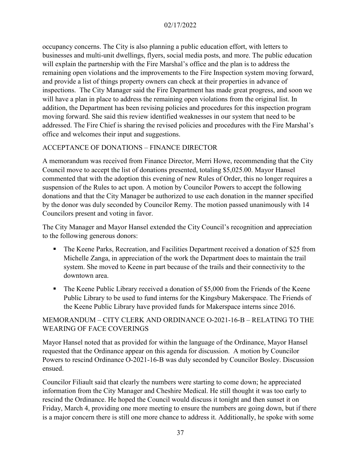occupancy concerns. The City is also planning a public education effort, with letters to businesses and multi-unit dwellings, flyers, social media posts, and more. The public education will explain the partnership with the Fire Marshal's office and the plan is to address the remaining open violations and the improvements to the Fire Inspection system moving forward, and provide a list of things property owners can check at their properties in advance of inspections. The City Manager said the Fire Department has made great progress, and soon we will have a plan in place to address the remaining open violations from the original list. In addition, the Department has been revising policies and procedures for this inspection program moving forward. She said this review identified weaknesses in our system that need to be addressed. The Fire Chief is sharing the revised policies and procedures with the Fire Marshal's office and welcomes their input and suggestions.

# ACCEPTANCE OF DONATIONS – FINANCE DIRECTOR

A memorandum was received from Finance Director, Merri Howe, recommending that the City Council move to accept the list of donations presented, totaling \$5,025.00. Mayor Hansel commented that with the adoption this evening of new Rules of Order, this no longer requires a suspension of the Rules to act upon. A motion by Councilor Powers to accept the following donations and that the City Manager be authorized to use each donation in the manner specified by the donor was duly seconded by Councilor Remy. The motion passed unanimously with 14 Councilors present and voting in favor.

The City Manager and Mayor Hansel extended the City Council's recognition and appreciation to the following generous donors:

- The Keene Parks, Recreation, and Facilities Department received a donation of \$25 from Michelle Zanga, in appreciation of the work the Department does to maintain the trail system. She moved to Keene in part because of the trails and their connectivity to the downtown area.
- The Keene Public Library received a donation of \$5,000 from the Friends of the Keene Public Library to be used to fund interns for the Kingsbury Makerspace. The Friends of the Keene Public Library have provided funds for Makerspace interns since 2016.

# MEMORANDUM – CITY CLERK AND ORDINANCE O-2021-16-B – RELATING TO THE WEARING OF FACE COVERINGS

Mayor Hansel noted that as provided for within the language of the Ordinance, Mayor Hansel requested that the Ordinance appear on this agenda for discussion. A motion by Councilor Powers to rescind Ordinance O-2021-16-B was duly seconded by Councilor Bosley. Discussion ensued.

Councilor Filiault said that clearly the numbers were starting to come down; he appreciated information from the City Manager and Cheshire Medical. He still thought it was too early to rescind the Ordinance. He hoped the Council would discuss it tonight and then sunset it on Friday, March 4, providing one more meeting to ensure the numbers are going down, but if there is a major concern there is still one more chance to address it. Additionally, he spoke with some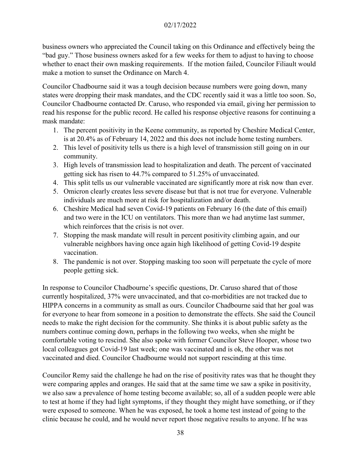business owners who appreciated the Council taking on this Ordinance and effectively being the "bad guy." Those business owners asked for a few weeks for them to adjust to having to choose whether to enact their own masking requirements. If the motion failed, Councilor Filiault would make a motion to sunset the Ordinance on March 4.

Councilor Chadbourne said it was a tough decision because numbers were going down, many states were dropping their mask mandates, and the CDC recently said it was a little too soon. So, Councilor Chadbourne contacted Dr. Caruso, who responded via email, giving her permission to read his response for the public record. He called his response objective reasons for continuing a mask mandate:

- 1. The percent positivity in the Keene community, as reported by Cheshire Medical Center, is at 20.4% as of February 14, 2022 and this does not include home testing numbers.
- 2. This level of positivity tells us there is a high level of transmission still going on in our community.
- 3. High levels of transmission lead to hospitalization and death. The percent of vaccinated getting sick has risen to 44.7% compared to 51.25% of unvaccinated.
- 4. This split tells us our vulnerable vaccinated are significantly more at risk now than ever.
- 5. Omicron clearly creates less severe disease but that is not true for everyone. Vulnerable individuals are much more at risk for hospitalization and/or death.
- 6. Cheshire Medical had seven Covid-19 patients on February 16 (the date of this email) and two were in the ICU on ventilators. This more than we had anytime last summer, which reinforces that the crisis is not over.
- 7. Stopping the mask mandate will result in percent positivity climbing again, and our vulnerable neighbors having once again high likelihood of getting Covid-19 despite vaccination.
- 8. The pandemic is not over. Stopping masking too soon will perpetuate the cycle of more people getting sick.

In response to Councilor Chadbourne's specific questions, Dr. Caruso shared that of those currently hospitalized, 37% were unvaccinated, and that co-morbidities are not tracked due to HIPPA concerns in a community as small as ours. Councilor Chadbourne said that her goal was for everyone to hear from someone in a position to demonstrate the effects. She said the Council needs to make the right decision for the community. She thinks it is about public safety as the numbers continue coming down, perhaps in the following two weeks, when she might be comfortable voting to rescind. She also spoke with former Councilor Steve Hooper, whose two local colleagues got Covid-19 last week; one was vaccinated and is ok, the other was not vaccinated and died. Councilor Chadbourne would not support rescinding at this time.

Councilor Remy said the challenge he had on the rise of positivity rates was that he thought they were comparing apples and oranges. He said that at the same time we saw a spike in positivity, we also saw a prevalence of home testing become available; so, all of a sudden people were able to test at home if they had light symptoms, if they thought they might have something, or if they were exposed to someone. When he was exposed, he took a home test instead of going to the clinic because he could, and he would never report those negative results to anyone. If he was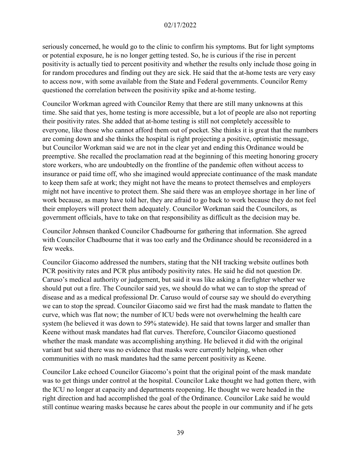seriously concerned, he would go to the clinic to confirm his symptoms. But for light symptoms or potential exposure, he is no longer getting tested. So, he is curious if the rise in percent positivity is actually tied to percent positivity and whether the results only include those going in for random procedures and finding out they are sick. He said that the at-home tests are very easy to access now, with some available from the State and Federal governments. Councilor Remy questioned the correlation between the positivity spike and at-home testing.

Councilor Workman agreed with Councilor Remy that there are still many unknowns at this time. She said that yes, home testing is more accessible, but a lot of people are also not reporting their positivity rates. She added that at-home testing is still not completely accessible to everyone, like those who cannot afford them out of pocket. She thinks it is great that the numbers are coming down and she thinks the hospital is right projecting a positive, optimistic message, but Councilor Workman said we are not in the clear yet and ending this Ordinance would be preemptive. She recalled the proclamation read at the beginning of this meeting honoring grocery store workers, who are undoubtedly on the frontline of the pandemic often without access to insurance or paid time off, who she imagined would appreciate continuance of the mask mandate to keep them safe at work; they might not have the means to protect themselves and employers might not have incentive to protect them. She said there was an employee shortage in her line of work because, as many have told her, they are afraid to go back to work because they do not feel their employers will protect them adequately. Councilor Workman said the Councilors, as government officials, have to take on that responsibility as difficult as the decision may be.

Councilor Johnsen thanked Councilor Chadbourne for gathering that information. She agreed with Councilor Chadbourne that it was too early and the Ordinance should be reconsidered in a few weeks.

Councilor Giacomo addressed the numbers, stating that the NH tracking website outlines both PCR positivity rates and PCR plus antibody positivity rates. He said he did not question Dr. Caruso's medical authority or judgement, but said it was like asking a firefighter whether we should put out a fire. The Councilor said yes, we should do what we can to stop the spread of disease and as a medical professional Dr. Caruso would of course say we should do everything we can to stop the spread. Councilor Giacomo said we first had the mask mandate to flatten the curve, which was flat now; the number of ICU beds were not overwhelming the health care system (he believed it was down to 59% statewide). He said that towns larger and smaller than Keene without mask mandates had flat curves. Therefore, Councilor Giacomo questioned whether the mask mandate was accomplishing anything. He believed it did with the original variant but said there was no evidence that masks were currently helping, when other communities with no mask mandates had the same percent positivity as Keene.

Councilor Lake echoed Councilor Giacomo's point that the original point of the mask mandate was to get things under control at the hospital. Councilor Lake thought we had gotten there, with the ICU no longer at capacity and departments reopening. He thought we were headed in the right direction and had accomplished the goal of the Ordinance. Councilor Lake said he would still continue wearing masks because he cares about the people in our community and if he gets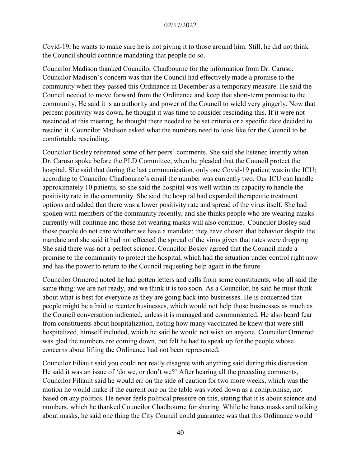Covid-19, he wants to make sure he is not giving it to those around him. Still, he did not think the Council should continue mandating that people do so.

Councilor Madison thanked Councilor Chadbourne for the information from Dr. Caruso. Councilor Madison's concern was that the Council had effectively made a promise to the community when they passed this Ordinance in December as a temporary measure. He said the Council needed to move forward from the Ordinance and keep that short-term promise to the community. He said it is an authority and power of the Council to wield very gingerly. Now that percent positivity was down, he thought it was time to consider rescinding this. If it were not rescinded at this meeting, he thought there needed to be set criteria or a specific date decided to rescind it. Councilor Madison asked what the numbers need to look like for the Council to be comfortable rescinding.

Councilor Bosley reiterated some of her peers' comments. She said she listened intently when Dr. Caruso spoke before the PLD Committee, when he pleaded that the Council protect the hospital. She said that during the last communication, only one Covid-19 patient was in the ICU; according to Councilor Chadbourne's email the number was currently two. Our ICU can handle approximately 10 patients, so she said the hospital was well within its capacity to handle the positivity rate in the community. She said the hospital had expanded therapeutic treatment options and added that there was a lower positivity rate and spread of the virus itself. She had spoken with members of the community recently, and she thinks people who are wearing masks currently will continue and those not wearing masks will also continue. Councilor Bosley said those people do not care whether we have a mandate; they have chosen that behavior despite the mandate and she said it had not effected the spread of the virus given that rates were dropping. She said there was not a perfect science. Councilor Bosley agreed that the Council made a promise to the community to protect the hospital, which had the situation under control right now and has the power to return to the Council requesting help again in the future.

Councilor Ormerod noted he had gotten letters and calls from some constituents, who all said the same thing: we are not ready, and we think it is too soon. As a Councilor, he said he must think about what is best for everyone as they are going back into businesses. He is concerned that people might be afraid to reenter businesses, which would not help those businesses as much as the Council conversation indicated, unless it is managed and communicated. He also heard fear from constituents about hospitalization, noting how many vaccinated he knew that were still hospitalized, himself included, which he said he would not wish on anyone. Councilor Ormerod was glad the numbers are coming down, but felt he had to speak up for the people whose concerns about lifting the Ordinance had not been represented.

Councilor Filiault said you could not really disagree with anything said during this discussion. He said it was an issue of 'do we, or don't we?' After hearing all the preceding comments, Councilor Filiault said he would err on the side of caution for two more weeks, which was the motion he would make if the current one on the table was voted down as a compromise, not based on any politics. He never feels political pressure on this, stating that it is about science and numbers, which he thanked Councilor Chadbourne for sharing. While he hates masks and talking about masks, he said one thing the City Council could guarantee was that this Ordinance would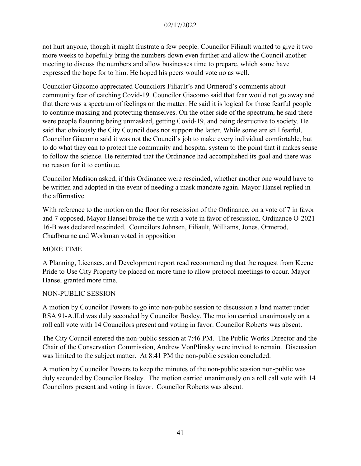not hurt anyone, though it might frustrate a few people. Councilor Filiault wanted to give it two more weeks to hopefully bring the numbers down even further and allow the Council another meeting to discuss the numbers and allow businesses time to prepare, which some have expressed the hope for to him. He hoped his peers would vote no as well.

Councilor Giacomo appreciated Councilors Filiault's and Ormerod's comments about community fear of catching Covid-19. Councilor Giacomo said that fear would not go away and that there was a spectrum of feelings on the matter. He said it is logical for those fearful people to continue masking and protecting themselves. On the other side of the spectrum, he said there were people flaunting being unmasked, getting Covid-19, and being destructive to society. He said that obviously the City Council does not support the latter. While some are still fearful, Councilor Giacomo said it was not the Council's job to make every individual comfortable, but to do what they can to protect the community and hospital system to the point that it makes sense to follow the science. He reiterated that the Ordinance had accomplished its goal and there was no reason for it to continue.

Councilor Madison asked, if this Ordinance were rescinded, whether another one would have to be written and adopted in the event of needing a mask mandate again. Mayor Hansel replied in the affirmative.

With reference to the motion on the floor for rescission of the Ordinance, on a vote of 7 in favor and 7 opposed, Mayor Hansel broke the tie with a vote in favor of rescission. Ordinance O-2021- 16-B was declared rescinded. Councilors Johnsen, Filiault, Williams, Jones, Ormerod, Chadbourne and Workman voted in opposition

### MORE TIME

A Planning, Licenses, and Development report read recommending that the request from Keene Pride to Use City Property be placed on more time to allow protocol meetings to occur. Mayor Hansel granted more time.

### NON-PUBLIC SESSION

A motion by Councilor Powers to go into non-public session to discussion a land matter under RSA 91-A.II.d was duly seconded by Councilor Bosley. The motion carried unanimously on a roll call vote with 14 Councilors present and voting in favor. Councilor Roberts was absent.

The City Council entered the non-public session at 7:46 PM. The Public Works Director and the Chair of the Conservation Commission, Andrew VonPlinsky were invited to remain. Discussion was limited to the subject matter. At 8:41 PM the non-public session concluded.

A motion by Councilor Powers to keep the minutes of the non-public session non-public was duly seconded by Councilor Bosley. The motion carried unanimously on a roll call vote with 14 Councilors present and voting in favor. Councilor Roberts was absent.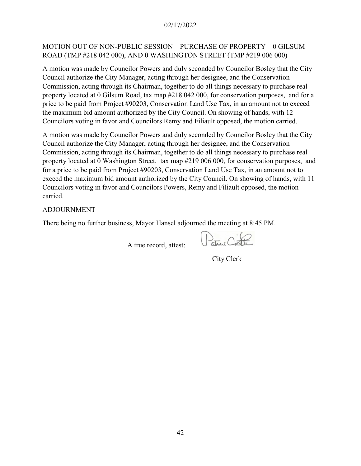### MOTION OUT OF NON-PUBLIC SESSION – PURCHASE OF PROPERTY – 0 GILSUM ROAD (TMP #218 042 000), AND 0 WASHINGTON STREET (TMP #219 006 000)

A motion was made by Councilor Powers and duly seconded by Councilor Bosley that the City Council authorize the City Manager, acting through her designee, and the Conservation Commission, acting through its Chairman, together to do all things necessary to purchase real property located at 0 Gilsum Road, tax map #218 042 000, for conservation purposes, and for a price to be paid from Project #90203, Conservation Land Use Tax, in an amount not to exceed the maximum bid amount authorized by the City Council. On showing of hands, with 12 Councilors voting in favor and Councilors Remy and Filiault opposed, the motion carried.

A motion was made by Councilor Powers and duly seconded by Councilor Bosley that the City Council authorize the City Manager, acting through her designee, and the Conservation Commission, acting through its Chairman, together to do all things necessary to purchase real property located at 0 Washington Street, tax map #219 006 000, for conservation purposes, and for a price to be paid from Project #90203, Conservation Land Use Tax, in an amount not to exceed the maximum bid amount authorized by the City Council. On showing of hands, with 11 Councilors voting in favor and Councilors Powers, Remy and Filiault opposed, the motion carried.

#### ADJOURNMENT

There being no further business, Mayor Hansel adjourned the meeting at 8:45 PM.

A true record, attest:

 $\sum_{\text{class}}$ 

City Clerk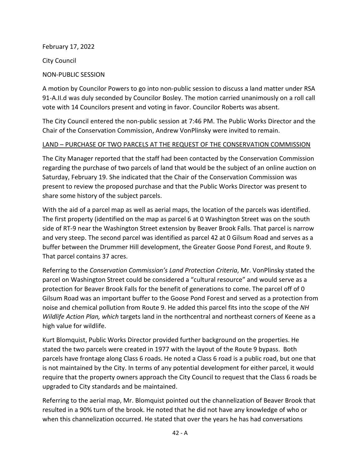February 17, 2022

City Council

## NON-PUBLIC SESSION

A motion by Councilor Powers to go into non-public session to discuss a land matter under RSA 91-A.II.d was duly seconded by Councilor Bosley. The motion carried unanimously on a roll call vote with 14 Councilors present and voting in favor. Councilor Roberts was absent.

The City Council entered the non-public session at 7:46 PM. The Public Works Director and the Chair of the Conservation Commission, Andrew VonPlinsky were invited to remain.

### LAND – PURCHASE OF TWO PARCELS AT THE REQUEST OF THE CONSERVATION COMMISSION

The City Manager reported that the staff had been contacted by the Conservation Commission regarding the purchase of two parcels of land that would be the subject of an online auction on Saturday, February 19. She indicated that the Chair of the Conservation Commission was present to review the proposed purchase and that the Public Works Director was present to share some history of the subject parcels.

With the aid of a parcel map as well as aerial maps, the location of the parcels was identified. The first property (identified on the map as parcel 6 at 0 Washington Street was on the south side of RT-9 near the Washington Street extension by Beaver Brook Falls. That parcel is narrow and very steep. The second parcel was identified as parcel 42 at 0 Gilsum Road and serves as a buffer between the Drummer Hill development, the Greater Goose Pond Forest, and Route 9. That parcel contains 37 acres.

Referring to the *Conservation Commission's Land Protection Criteria*, Mr. VonPlinsky stated the parcel on Washington Street could be considered a "cultural resource" and would serve as a protection for Beaver Brook Falls for the benefit of generations to come. The parcel off of 0 Gilsum Road was an important buffer to the Goose Pond Forest and served as a protection from noise and chemical pollution from Route 9. He added this parcel fits into the scope of the *NH Wildlife Action Plan, which* targets land in the northcentral and northeast corners of Keene as a high value for wildlife.

Kurt Blomquist, Public Works Director provided further background on the properties. He stated the two parcels were created in 1977 with the layout of the Route 9 bypass. Both parcels have frontage along Class 6 roads. He noted a Class 6 road is a public road, but one that is not maintained by the City. In terms of any potential development for either parcel, it would require that the property owners approach the City Council to request that the Class 6 roads be upgraded to City standards and be maintained.

Referring to the aerial map, Mr. Blomquist pointed out the channelization of Beaver Brook that resulted in a 90% turn of the brook. He noted that he did not have any knowledge of who or when this channelization occurred. He stated that over the years he has had conversations